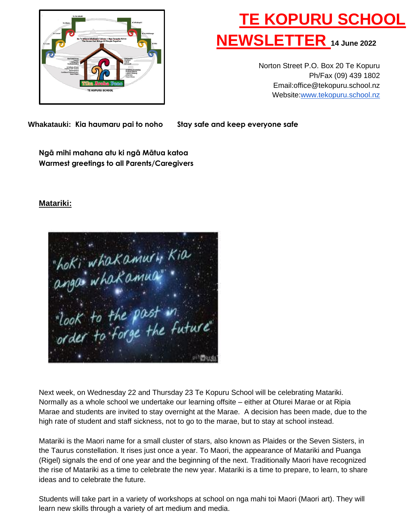

# **TE KOPURU SCHOOL NEWSLETTER 14 June <sup>2022</sup>**

Norton Street P.O. Box 20 Te Kopuru Ph/Fax (09) 439 1802 Email:office@tekopuru.school.nz Website[:www.tekopuru.school.nz](http://www.tekopuru.school.nz/)

 **Whakatauki: Kia haumaru pai to noho Stay safe and keep everyone safe**

**Ngā mihi mahana atu ki ngā Mātua katoa Warmest greetings to all Parents/Caregivers**

# **Matariki:**



Next week, on Wednesday 22 and Thursday 23 Te Kopuru School will be celebrating Matariki. Normally as a whole school we undertake our learning offsite – either at Oturei Marae or at Ripia Marae and students are invited to stay overnight at the Marae. A decision has been made, due to the high rate of student and staff sickness, not to go to the marae, but to stay at school instead.

Matariki is the Maori name for a small cluster of stars, also known as Plaides or the Seven Sisters, in the Taurus constellation. It rises just once a year. To Maori, the appearance of Matariki and Puanga (Rigel) signals the end of one year and the beginning of the next. Traditionally Maori have recognized the rise of Matariki as a time to celebrate the new year. Matariki is a time to prepare, to learn, to share ideas and to celebrate the future.

Students will take part in a variety of workshops at school on nga mahi toi Maori (Maori art). They will learn new skills through a variety of art medium and media.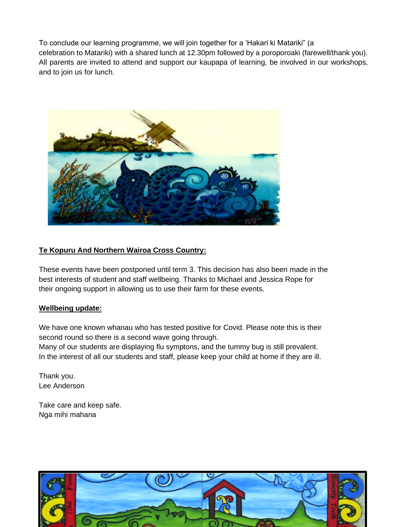To conclude our learning programme, we will join together for a 'Hakari ki Matariki" (a celebration to Matariki) with a shared lunch at 12.30pm followed by a poroporoaki (farewell/thank you). All parents are invited to attend and support our kaupapa of learning, be involved in our workshops, and to join us for lunch.



# **Te Kopuru And Northern Wairoa Cross Country:**

These events have been postponed until term 3. This decision has also been made in the best interests of student and staff wellbeing. Thanks to Michael and Jessica Rope for their ongoing support in allowing us to use their farm for these events.

## **Wellbeing update:**

We have one known whanau who has tested positive for Covid. Please note this is their second round so there is a second wave going through.

Many of our students are displaying flu symptons, and the tummy bug is still prevalent. In the interest of all our students and staff, please keep your child at home if they are ill.

Thank you. Lee Anderson

Take care and keep safe. Nga mihi mahana

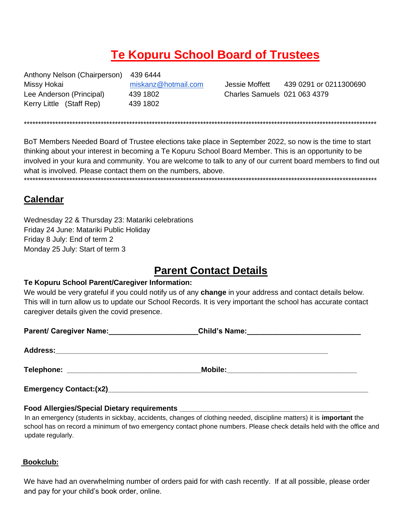# **Te Kopuru School Board of Trustees**

Anthony Nelson (Chairperson) Missy Hokai Lee Anderson (Principal) Kerry Little (Staff Rep)

439 6444 miskanz@hotmail.com 439 1802 439 1802

Jessie Moffett 439 0291 or 0211300690 Charles Samuels 021 063 4379

BoT Members Needed Board of Trustee elections take place in September 2022, so now is the time to start thinking about your interest in becoming a Te Kopuru School Board Member. This is an opportunity to be involved in your kura and community. You are welcome to talk to any of our current board members to find out what is involved. Please contact them on the numbers, above.

# **Calendar**

Wednesday 22 & Thursday 23: Matariki celebrations Friday 24 June: Matariki Public Holiday Friday 8 July: End of term 2 Monday 25 July: Start of term 3

# **Parent Contact Details**

## Te Kopuru School Parent/Caregiver Information:

We would be very grateful if you could notify us of any change in your address and contact details below. This will in turn allow us to update our School Records. It is very important the school has accurate contact caregiver details given the covid presence.

| Parent/ Caregiver Name:                    |                                           |  |
|--------------------------------------------|-------------------------------------------|--|
|                                            |                                           |  |
| Telephone: _______________________________ | Mobile: _________________________________ |  |
| <b>Emergency Contact:(x2)</b>              |                                           |  |

## Food Allergies/Special Dietary requirements \_

In an emergency (students in sickbay, accidents, changes of clothing needed, discipline matters) it is important the school has on record a minimum of two emergency contact phone numbers. Please check details held with the office and update regularly.

## Bookclub:

We have had an overwhelming number of orders paid for with cash recently. If at all possible, please order and pay for your child's book order, online.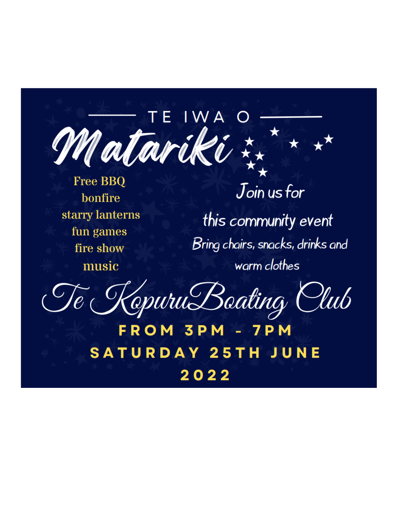IWA T El Matariki

**Free BBQ bonfire** starry lanterns fun games fire show music

 $J$ oin us for this community event Bring chairs, snacks, drinks and warm clothes

KepuruBeating Club

FROM 3PM - 7P **SATURDAY 25TH JUNE** 2022